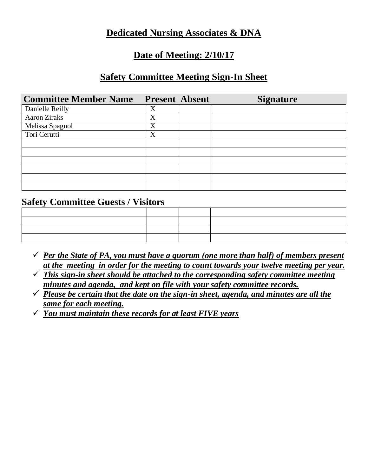#### **Dedicated Nursing Associates & DNA**

#### **Date of Meeting: 2/10/17**

### **Safety Committee Meeting Sign-In Sheet**

| <b>Committee Member Name</b> | <b>Present Absent</b> | <b>Signature</b> |
|------------------------------|-----------------------|------------------|
| Danielle Reilly              | X                     |                  |
| Aaron Ziraks                 | X                     |                  |
| Melissa Spagnol              | X                     |                  |
| Tori Cerutti                 | X                     |                  |
|                              |                       |                  |
|                              |                       |                  |
|                              |                       |                  |
|                              |                       |                  |
|                              |                       |                  |
|                              |                       |                  |

#### **Safety Committee Guests / Visitors**

- $\checkmark$  *Per the State of PA, you must have a quorum (one more than half) of members present at the meeting in order for the meeting to count towards your twelve meeting per year.*
- ✓ *This sign-in sheet should be attached to the corresponding safety committee meeting minutes and agenda, and kept on file with your safety committee records.*
- ✓ *Please be certain that the date on the sign-in sheet, agenda, and minutes are all the same for each meeting.*
- ✓ *You must maintain these records for at least FIVE years*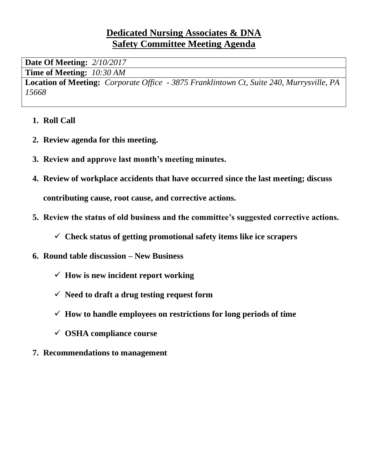## **Dedicated Nursing Associates & DNA Safety Committee Meeting Agenda**

**Date Of Meeting:** *2/10/2017* **Time of Meeting:** *10:30 AM*

**Location of Meeting:** *Corporate Office - 3875 Franklintown Ct, Suite 240, Murrysville, PA 15668*

- **1. Roll Call**
- **2. Review agenda for this meeting.**
- **3. Review and approve last month's meeting minutes.**
- **4. Review of workplace accidents that have occurred since the last meeting; discuss contributing cause, root cause, and corrective actions.**
- **5. Review the status of old business and the committee's suggested corrective actions.**
	- ✓ **Check status of getting promotional safety items like ice scrapers**
- **6. Round table discussion – New Business**
	- ✓ **How is new incident report working**
	- ✓ **Need to draft a drug testing request form**
	- ✓ **How to handle employees on restrictions for long periods of time**
	- ✓ **OSHA compliance course**
- **7. Recommendations to management**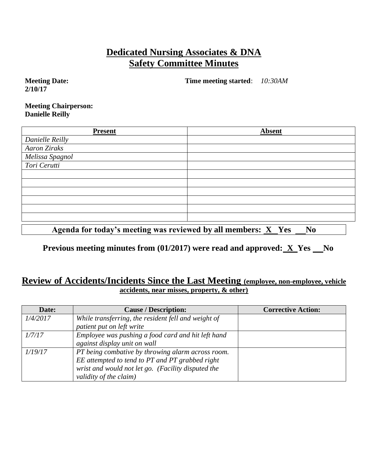# **Dedicated Nursing Associates & DNA Safety Committee Minutes**

**Meeting Date: 2/10/17**

**Time meeting started**: *10:30AM*

**Meeting Chairperson: Danielle Reilly**

| <b>Present</b>                  | <b>Absent</b> |
|---------------------------------|---------------|
| Danielle Reilly                 |               |
| Aaron Ziraks                    |               |
| Melissa Spagnol<br>Tori Cerutti |               |
|                                 |               |
|                                 |               |
|                                 |               |
|                                 |               |
|                                 |               |
|                                 |               |
|                                 |               |
|                                 |               |

Agenda for today's meeting was reviewed by all members: **X** Yes No

**Previous meeting minutes from (01/2017) were read and approved: X Yes No** 

#### **Review of Accidents/Incidents Since the Last Meeting (employee, non-employee, vehicle accidents, near misses, property, & other)**

| Date:    | <b>Cause / Description:</b>                         | <b>Corrective Action:</b> |
|----------|-----------------------------------------------------|---------------------------|
| 1/4/2017 | While transferring, the resident fell and weight of |                           |
|          | patient put on left write                           |                           |
| 1/7/17   | Employee was pushing a food card and hit left hand  |                           |
|          | against display unit on wall                        |                           |
| 1/19/17  | PT being combative by throwing alarm across room.   |                           |
|          | EE attempted to tend to PT and PT grabbed right     |                           |
|          | wrist and would not let go. (Facility disputed the  |                           |
|          | validity of the claim)                              |                           |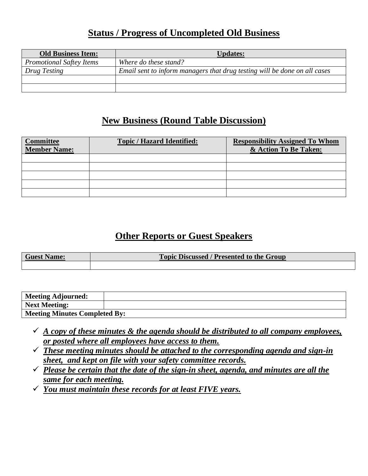### **Status / Progress of Uncompleted Old Business**

| <b>Old Business Item:</b>       | <b>Updates:</b>                                                           |
|---------------------------------|---------------------------------------------------------------------------|
| <b>Promotional Saftey Items</b> | Where do these stand?                                                     |
| Drug Testing                    | Email sent to inform managers that drug testing will be done on all cases |
|                                 |                                                                           |
|                                 |                                                                           |

## **New Business (Round Table Discussion)**

| <b>Committee</b><br><b>Member Name:</b> | <b>Topic / Hazard Identified:</b> | <b>Responsibility Assigned To Whom</b><br>& Action To Be Taken: |
|-----------------------------------------|-----------------------------------|-----------------------------------------------------------------|
|                                         |                                   |                                                                 |
|                                         |                                   |                                                                 |
|                                         |                                   |                                                                 |
|                                         |                                   |                                                                 |
|                                         |                                   |                                                                 |

# **Other Reports or Guest Speakers**

| <b>Guest Name:</b> | <b>Topic Discussed / Presented to the Group</b> |
|--------------------|-------------------------------------------------|
|                    |                                                 |

| Meeting Adjourned:                   |  |
|--------------------------------------|--|
| Next Meeting:                        |  |
| <b>Meeting Minutes Completed By:</b> |  |

- $\checkmark$  *A copy of these minutes & the agenda should be distributed to all company employees, or posted where all employees have access to them.*
- ✓ *These meeting minutes should be attached to the corresponding agenda and sign-in sheet, and kept on file with your safety committee records.*
- ✓ *Please be certain that the date of the sign-in sheet, agenda, and minutes are all the same for each meeting.*
- ✓ *You must maintain these records for at least FIVE years.*